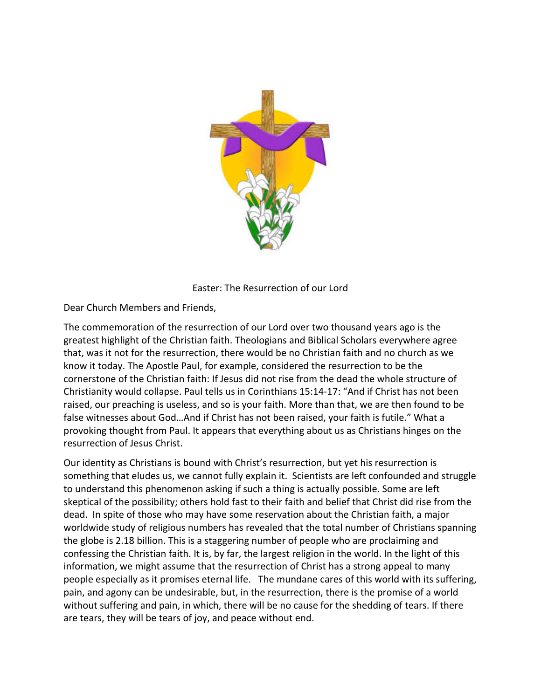

Easter: The Resurrection of our Lord

Dear Church Members and Friends,

The commemoration of the resurrection of our Lord over two thousand years ago is the greatest highlight of the Christian faith. Theologians and Biblical Scholars everywhere agree that, was it not for the resurrection, there would be no Christian faith and no church as we know it today. The Apostle Paul, for example, considered the resurrection to be the cornerstone of the Christian faith: If Jesus did not rise from the dead the whole structure of Christianity would collapse. Paul tells us in Corinthians 15:14-17: "And if Christ has not been raised, our preaching is useless, and so is your faith. More than that, we are then found to be false witnesses about God...And if Christ has not been raised, your faith is futile." What a provoking thought from Paul. It appears that everything about us as Christians hinges on the resurrection of Jesus Christ.

Our identity as Christians is bound with Christ's resurrection, but yet his resurrection is something that eludes us, we cannot fully explain it. Scientists are left confounded and struggle to understand this phenomenon asking if such a thing is actually possible. Some are left skeptical of the possibility; others hold fast to their faith and belief that Christ did rise from the dead. In spite of those who may have some reservation about the Christian faith, a major worldwide study of religious numbers has revealed that the total number of Christians spanning the globe is 2.18 billion. This is a staggering number of people who are proclaiming and confessing the Christian faith. It is, by far, the largest religion in the world. In the light of this information, we might assume that the resurrection of Christ has a strong appeal to many people especially as it promises eternal life. The mundane cares of this world with its suffering, pain, and agony can be undesirable, but, in the resurrection, there is the promise of a world without suffering and pain, in which, there will be no cause for the shedding of tears. If there are tears, they will be tears of joy, and peace without end.